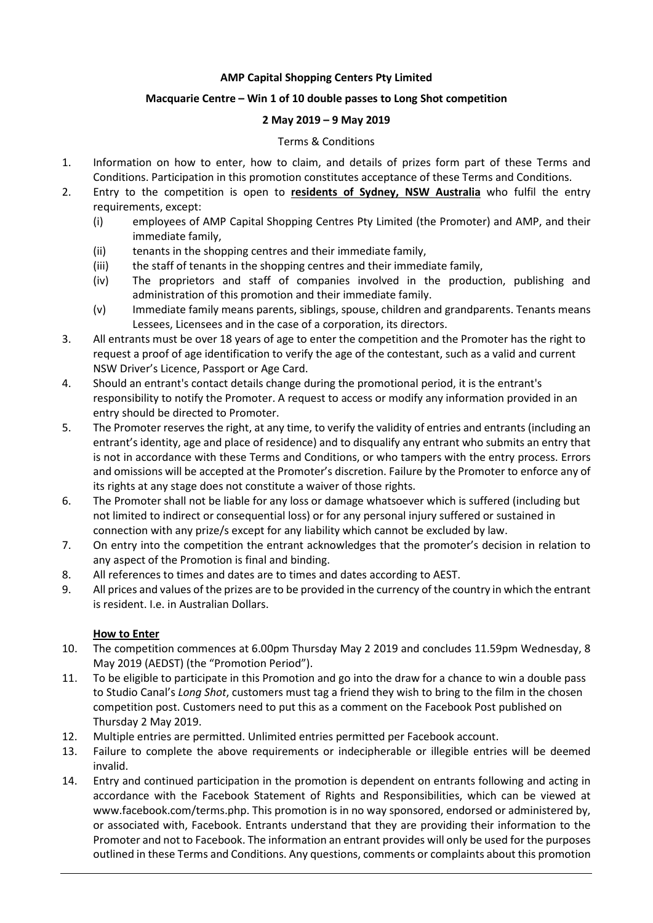#### **AMP Capital Shopping Centers Pty Limited**

# **Macquarie Centre – Win 1 of 10 double passes to Long Shot competition**

## **2 May 2019 – 9 May 2019**

## Terms & Conditions

- 1. Information on how to enter, how to claim, and details of prizes form part of these Terms and Conditions. Participation in this promotion constitutes acceptance of these Terms and Conditions.
- 2. Entry to the competition is open to **residents of Sydney, NSW Australia** who fulfil the entry requirements, except:
	- (i) employees of AMP Capital Shopping Centres Pty Limited (the Promoter) and AMP, and their immediate family,
	- (ii) tenants in the shopping centres and their immediate family,
	- (iii) the staff of tenants in the shopping centres and their immediate family,
	- (iv) The proprietors and staff of companies involved in the production, publishing and administration of this promotion and their immediate family.
	- (v) Immediate family means parents, siblings, spouse, children and grandparents. Tenants means Lessees, Licensees and in the case of a corporation, its directors.
- 3. All entrants must be over 18 years of age to enter the competition and the Promoter has the right to request a proof of age identification to verify the age of the contestant, such as a valid and current NSW Driver's Licence, Passport or Age Card.
- 4. Should an entrant's contact details change during the promotional period, it is the entrant's responsibility to notify the Promoter. A request to access or modify any information provided in an entry should be directed to Promoter.
- 5. The Promoter reserves the right, at any time, to verify the validity of entries and entrants (including an entrant's identity, age and place of residence) and to disqualify any entrant who submits an entry that is not in accordance with these Terms and Conditions, or who tampers with the entry process. Errors and omissions will be accepted at the Promoter's discretion. Failure by the Promoter to enforce any of its rights at any stage does not constitute a waiver of those rights.
- 6. The Promoter shall not be liable for any loss or damage whatsoever which is suffered (including but not limited to indirect or consequential loss) or for any personal injury suffered or sustained in connection with any prize/s except for any liability which cannot be excluded by law.
- 7. On entry into the competition the entrant acknowledges that the promoter's decision in relation to any aspect of the Promotion is final and binding.
- 8. All references to times and dates are to times and dates according to AEST.
- 9. All prices and values of the prizes are to be provided in the currency of the country in which the entrant is resident. I.e. in Australian Dollars.

# **How to Enter**

- 10. The competition commences at 6.00pm Thursday May 2 2019 and concludes 11.59pm Wednesday, 8 May 2019 (AEDST) (the "Promotion Period").
- 11. To be eligible to participate in this Promotion and go into the draw for a chance to win a double pass to Studio Canal's *Long Shot*, customers must tag a friend they wish to bring to the film in the chosen competition post. Customers need to put this as a comment on the Facebook Post published on Thursday 2 May 2019.
- 12. Multiple entries are permitted. Unlimited entries permitted per Facebook account.
- 13. Failure to complete the above requirements or indecipherable or illegible entries will be deemed invalid.
- 14. Entry and continued participation in the promotion is dependent on entrants following and acting in accordance with the Facebook Statement of Rights and Responsibilities, which can be viewed at www.facebook.com/terms.php. This promotion is in no way sponsored, endorsed or administered by, or associated with, Facebook. Entrants understand that they are providing their information to the Promoter and not to Facebook. The information an entrant provides will only be used for the purposes outlined in these Terms and Conditions. Any questions, comments or complaints about this promotion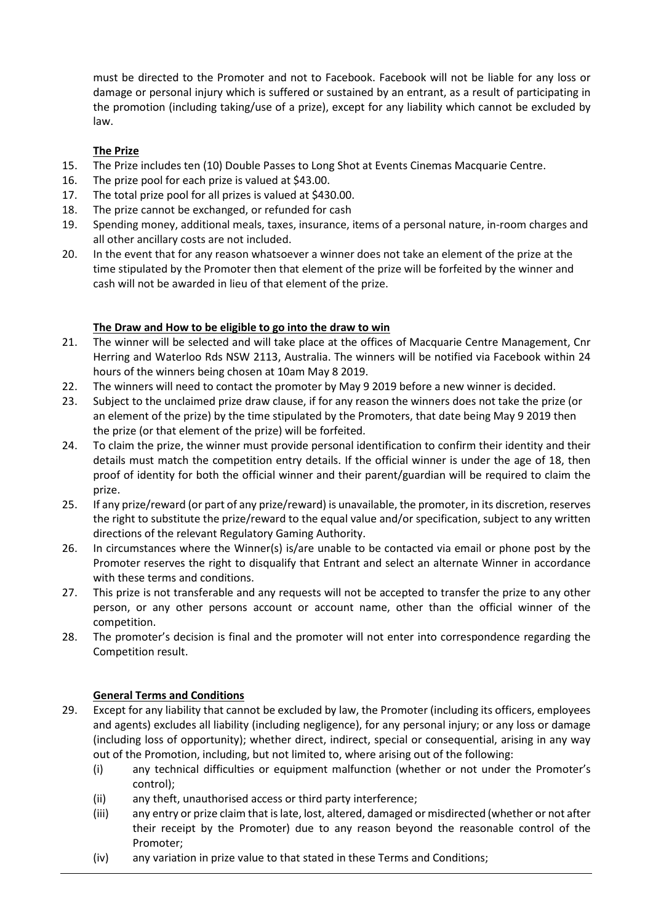must be directed to the Promoter and not to Facebook. Facebook will not be liable for any loss or damage or personal injury which is suffered or sustained by an entrant, as a result of participating in the promotion (including taking/use of a prize), except for any liability which cannot be excluded by law.

### **The Prize**

- 15. The Prize includes ten (10) Double Passes to Long Shot at Events Cinemas Macquarie Centre.
- 16. The prize pool for each prize is valued at \$43.00.
- 17. The total prize pool for all prizes is valued at \$430.00.
- 18. The prize cannot be exchanged, or refunded for cash
- 19. Spending money, additional meals, taxes, insurance, items of a personal nature, in-room charges and all other ancillary costs are not included.
- 20. In the event that for any reason whatsoever a winner does not take an element of the prize at the time stipulated by the Promoter then that element of the prize will be forfeited by the winner and cash will not be awarded in lieu of that element of the prize.

### **The Draw and How to be eligible to go into the draw to win**

- 21. The winner will be selected and will take place at the offices of Macquarie Centre Management, Cnr Herring and Waterloo Rds NSW 2113, Australia. The winners will be notified via Facebook within 24 hours of the winners being chosen at 10am May 8 2019.
- 22. The winners will need to contact the promoter by May 9 2019 before a new winner is decided.
- 23. Subject to the unclaimed prize draw clause, if for any reason the winners does not take the prize (or an element of the prize) by the time stipulated by the Promoters, that date being May 9 2019 then the prize (or that element of the prize) will be forfeited.
- 24. To claim the prize, the winner must provide personal identification to confirm their identity and their details must match the competition entry details. If the official winner is under the age of 18, then proof of identity for both the official winner and their parent/guardian will be required to claim the prize.
- 25. If any prize/reward (or part of any prize/reward) is unavailable, the promoter, in its discretion, reserves the right to substitute the prize/reward to the equal value and/or specification, subject to any written directions of the relevant Regulatory Gaming Authority.
- 26. In circumstances where the Winner(s) is/are unable to be contacted via email or phone post by the Promoter reserves the right to disqualify that Entrant and select an alternate Winner in accordance with these terms and conditions.
- 27. This prize is not transferable and any requests will not be accepted to transfer the prize to any other person, or any other persons account or account name, other than the official winner of the competition.
- 28. The promoter's decision is final and the promoter will not enter into correspondence regarding the Competition result.

#### **General Terms and Conditions**

- 29. Except for any liability that cannot be excluded by law, the Promoter (including its officers, employees and agents) excludes all liability (including negligence), for any personal injury; or any loss or damage (including loss of opportunity); whether direct, indirect, special or consequential, arising in any way out of the Promotion, including, but not limited to, where arising out of the following:
	- (i) any technical difficulties or equipment malfunction (whether or not under the Promoter's control);
	- (ii) any theft, unauthorised access or third party interference;
	- (iii) any entry or prize claim that is late, lost, altered, damaged or misdirected (whether or not after their receipt by the Promoter) due to any reason beyond the reasonable control of the Promoter;
	- (iv) any variation in prize value to that stated in these Terms and Conditions;